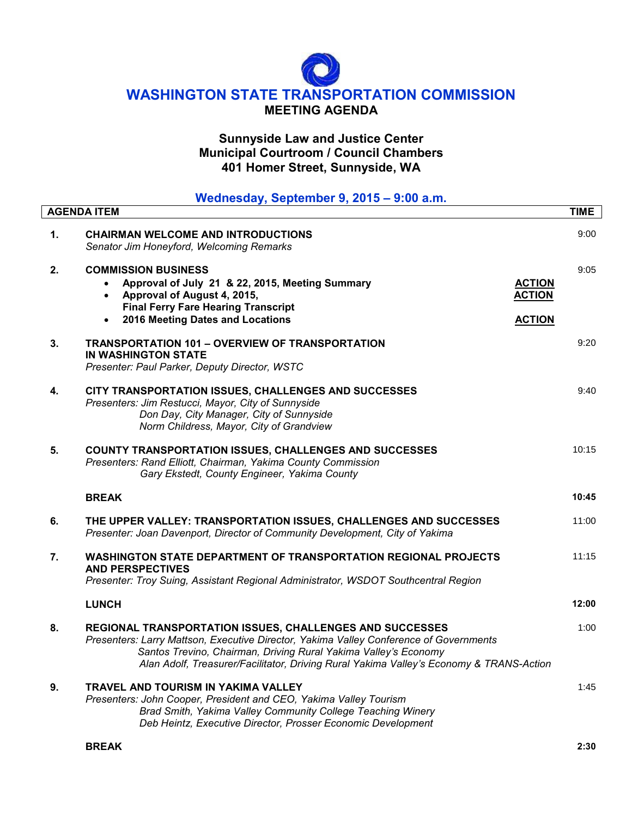# **WASHINGTON STATE TRANSPORTATION COMMISSION MEETING AGENDA**

## **Sunnyside Law and Justice Center Municipal Courtroom / Council Chambers 401 Homer Street, Sunnyside, WA**

|    | Wednesday, September 9, 2015 - 9:00 a.m.                                                                                                                                                                                                                                                                         |             |
|----|------------------------------------------------------------------------------------------------------------------------------------------------------------------------------------------------------------------------------------------------------------------------------------------------------------------|-------------|
|    | <b>AGENDA ITEM</b>                                                                                                                                                                                                                                                                                               | <b>TIME</b> |
| 1. | <b>CHAIRMAN WELCOME AND INTRODUCTIONS</b><br>Senator Jim Honeyford, Welcoming Remarks                                                                                                                                                                                                                            | 9:00        |
| 2. | <b>COMMISSION BUSINESS</b><br>Approval of July 21 & 22, 2015, Meeting Summary<br><b>ACTION</b><br>Approval of August 4, 2015,<br><b>ACTION</b><br><b>Final Ferry Fare Hearing Transcript</b><br>2016 Meeting Dates and Locations<br><b>ACTION</b>                                                                | 9:05        |
| 3. | <b>TRANSPORTATION 101 - OVERVIEW OF TRANSPORTATION</b><br><b>IN WASHINGTON STATE</b><br>Presenter: Paul Parker, Deputy Director, WSTC                                                                                                                                                                            | 9:20        |
| 4. | CITY TRANSPORTATION ISSUES, CHALLENGES AND SUCCESSES<br>Presenters: Jim Restucci, Mayor, City of Sunnyside<br>Don Day, City Manager, City of Sunnyside<br>Norm Childress, Mayor, City of Grandview                                                                                                               | 9:40        |
| 5. | <b>COUNTY TRANSPORTATION ISSUES, CHALLENGES AND SUCCESSES</b><br>Presenters: Rand Elliott, Chairman, Yakima County Commission<br>Gary Ekstedt, County Engineer, Yakima County                                                                                                                                    | 10:15       |
|    | <b>BREAK</b>                                                                                                                                                                                                                                                                                                     | 10:45       |
| 6. | THE UPPER VALLEY: TRANSPORTATION ISSUES, CHALLENGES AND SUCCESSES<br>Presenter: Joan Davenport, Director of Community Development, City of Yakima                                                                                                                                                                | 11:00       |
| 7. | <b>WASHINGTON STATE DEPARTMENT OF TRANSPORTATION REGIONAL PROJECTS</b><br><b>AND PERSPECTIVES</b><br>Presenter: Troy Suing, Assistant Regional Administrator, WSDOT Southcentral Region                                                                                                                          | 11:15       |
|    | <b>LUNCH</b>                                                                                                                                                                                                                                                                                                     | 12:00       |
| 8. | REGIONAL TRANSPORTATION ISSUES, CHALLENGES AND SUCCESSES<br>Presenters: Larry Mattson, Executive Director, Yakima Valley Conference of Governments<br>Santos Trevino, Chairman, Driving Rural Yakima Valley's Economy<br>Alan Adolf, Treasurer/Facilitator, Driving Rural Yakima Valley's Economy & TRANS-Action | 1:00        |
| 9. | TRAVEL AND TOURISM IN YAKIMA VALLEY<br>Presenters: John Cooper, President and CEO, Yakima Valley Tourism<br>Brad Smith, Yakima Valley Community College Teaching Winery<br>Deb Heintz, Executive Director, Prosser Economic Development                                                                          | 1:45        |
|    | <b>BREAK</b>                                                                                                                                                                                                                                                                                                     | 2:30        |